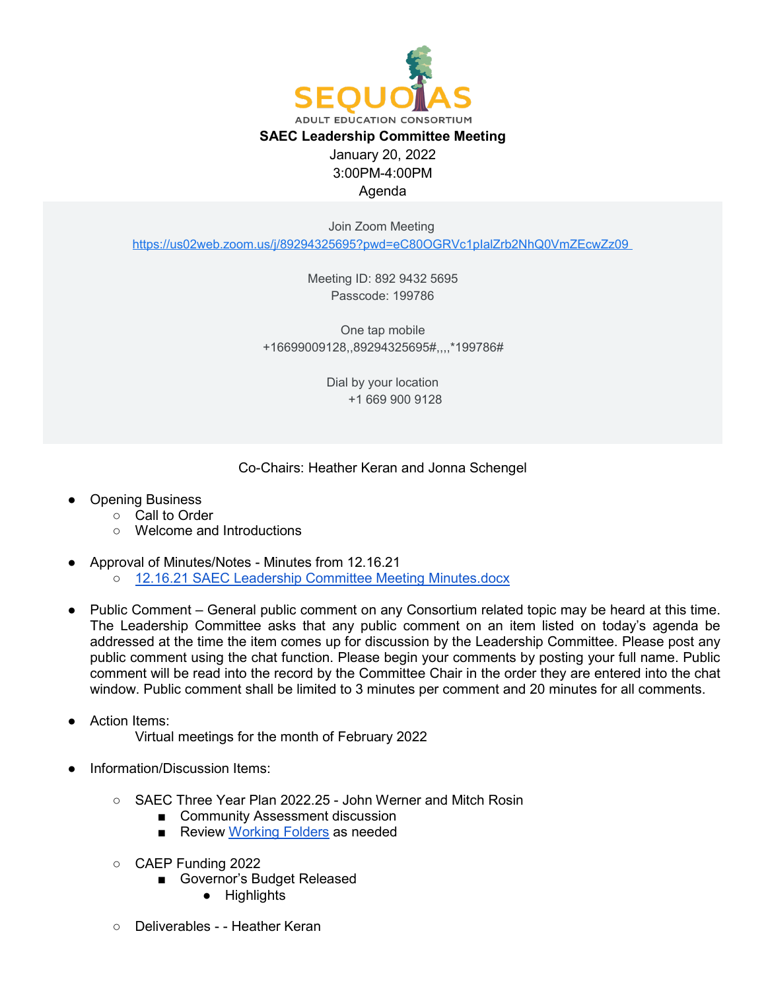

Join Zoom Meeting

<https://us02web.zoom.us/j/89294325695?pwd=eC80OGRVc1pIalZrb2NhQ0VmZEcwZz09>

Meeting ID: 892 9432 5695 Passcode: 199786

One tap mobile +16699009128,,89294325695#,,,,\*199786#

> Dial by your location +1 669 900 9128

## Co-Chairs: Heather Keran and Jonna Schengel

- **Opening Business** 
	- Call to Order
		- Welcome and Introductions
- Approval of Minutes/Notes Minutes from 12.16.21
	- [12.16.21 SAEC Leadership Committee Meeting Minutes.docx](https://docs.google.com/document/d/1FgvAiapIepBg0wQB-_sqwO8z61ox5fnz/edit)
- Public Comment General public comment on any Consortium related topic may be heard at this time. The Leadership Committee asks that any public comment on an item listed on today's agenda be addressed at the time the item comes up for discussion by the Leadership Committee. Please post any public comment using the chat function. Please begin your comments by posting your full name. Public comment will be read into the record by the Committee Chair in the order they are entered into the chat window. Public comment shall be limited to 3 minutes per comment and 20 minutes for all comments.
- Action Items: Virtual meetings for the month of February 2022
- Information/Discussion Items:
	- SAEC Three Year Plan 2022.25 John Werner and Mitch Rosin
		- Community Assessment discussion
		- Review [Working Folders](https://drive.google.com/drive/folders/1yRhN9fHvgbCqesNxcQiMn3iPDu7nmMR6?usp=sharing) as needed
	- CAEP Funding 2022
		- Governor's Budget Released
			- Highlights
	- Deliverables - Heather Keran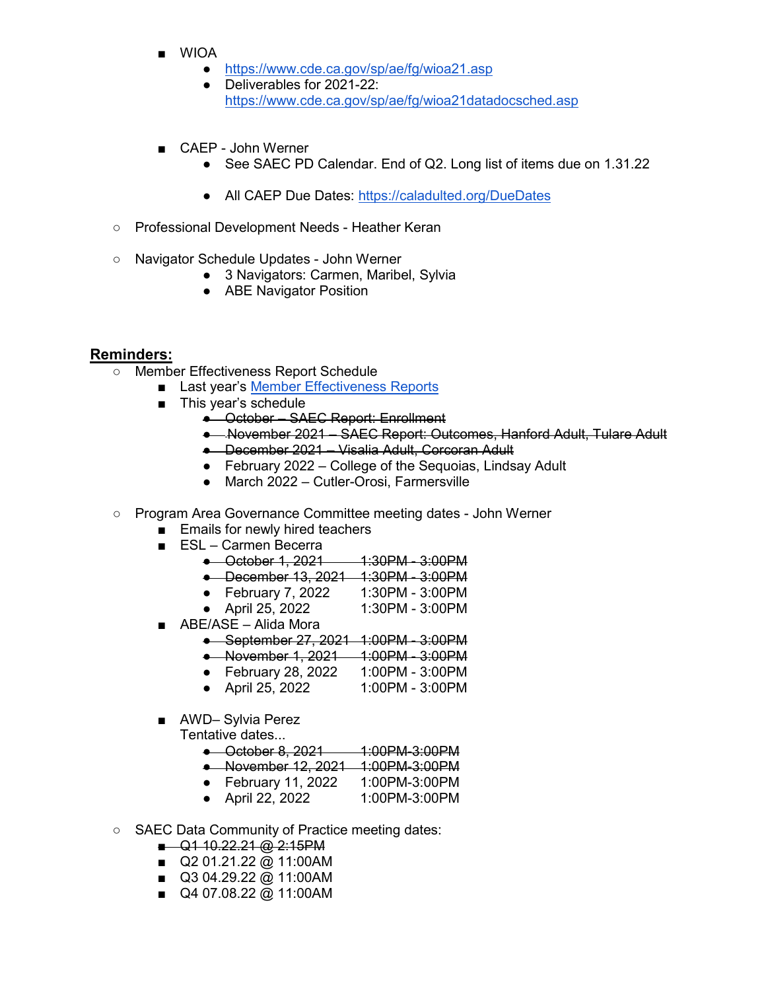- WIOA
	- <https://www.cde.ca.gov/sp/ae/fg/wioa21.asp>
	- Deliverables for 2021-22: <https://www.cde.ca.gov/sp/ae/fg/wioa21datadocsched.asp>
- CAEP John Werner
	- See SAEC PD Calendar. End of Q2. Long list of items due on 1.31.22
	- All CAEP Due Dates:<https://caladulted.org/DueDates>
- Professional Development Needs Heather Keran
- Navigator Schedule Updates John Werner
	- 3 Navigators: Carmen, Maribel, Sylvia
	- ABE Navigator Position

## **Reminders:**

- Member Effectiveness Report Schedule
	- Last year's [Member Effectiveness Reports](https://drive.google.com/drive/u/0/folders/1wr841k1LQIABFWmsMyaR_LOYhaj7fTjV)
		- This year's schedule
			- October SAEC Report: Enrollment
			- November 2021 SAEC Report: Outcomes, Hanford Adult, Tulare Adult
			- December 2021 Visalia Adult, Corcoran Adult
			- February 2022 College of the Sequoias, Lindsay Adult
			- March 2022 Cutler-Orosi, Farmersville
- Program Area Governance Committee meeting dates John Werner
	- Emails for newly hired teachers
	- ESL Carmen Becerra
		- October 1, 2021 1:30PM 3:00PM
		- December 13, 2021 1:30PM 3:00PM
		- February 7, 2022 1:30PM 3:00PM
		- April 25, 2022 1:30PM 3:00PM
	- ABE/ASE Alida Mora
		- September 27, 2021 1:00PM 3:00PM
		- November 1, 2021 1:00PM 3:00PM
		- February 28, 2022 1:00PM 3:00PM
		- April 25, 2022 1:00PM 3:00PM
	- AWD-Sylvia Perez
		- Tentative dates...
			- October 8, 2021 1:00PM-3:00PM
			- November 12, 2021 1:00PM-3:00PM
			- February 11, 2022 1:00PM-3:00PM
			- April 22, 2022
- SAEC Data Community of Practice meeting dates:
	- Q1 10.22.21 @ 2:15PM
	- Q2 01.21.22 @ 11:00AM
	- Q3 04.29.22 @ 11:00AM
	- Q4 07.08.22 @ 11:00AM